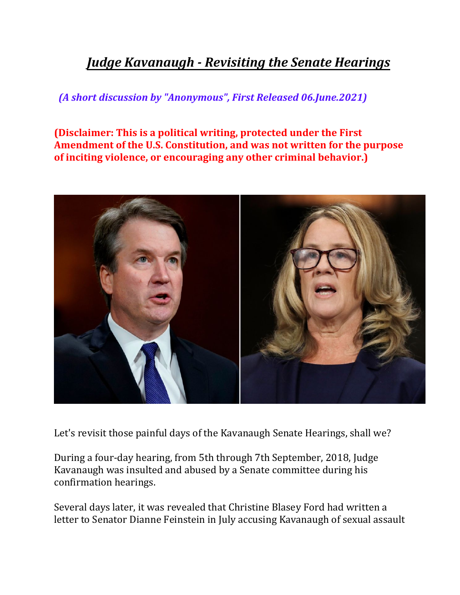## *Judge Kavanaugh - Revisiting the Senate Hearings*

*(A short discussion by "Anonymous", First Released 06.June.2021)*

**(Disclaimer: This is a political writing, protected under the First Amendment of the U.S. Constitution, and was not written for the purpose of inciting violence, or encouraging any other criminal behavior.)**



Let's revisit those painful days of the Kavanaugh Senate Hearings, shall we?

During a four-day hearing, from 5th through 7th September, 2018, Judge Kavanaugh was insulted and abused by a Senate committee during his confirmation hearings.

Several days later, it was revealed that Christine Blasey Ford had written a letter to Senator Dianne Feinstein in July accusing Kavanaugh of sexual assault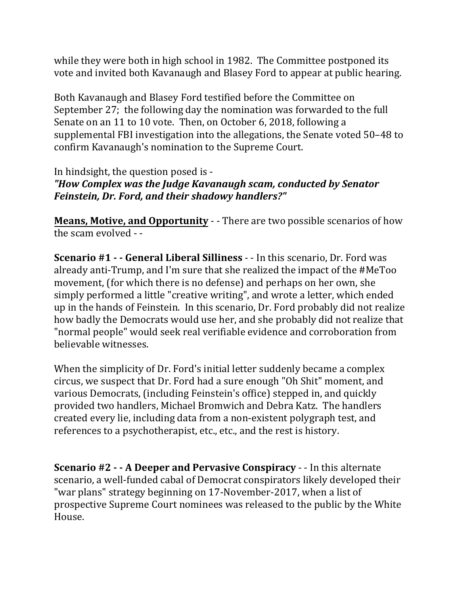while they were both in high school in 1982. The Committee postponed its vote and invited both Kavanaugh and Blasey Ford to appear at public hearing.

Both Kavanaugh and Blasey Ford testified before the Committee on September 27; the following day the nomination was forwarded to the full Senate on an 11 to 10 vote. Then, on October 6, 2018, following a supplemental FBI investigation into the allegations, the Senate voted 50–48 to confirm Kavanaugh's nomination to the Supreme Court.

## In hindsight, the question posed is -*"How Complex was the Judge Kavanaugh scam, conducted by Senator Feinstein, Dr. Ford, and their shadowy handlers?"*

**Means, Motive, and Opportunity** - - There are two possible scenarios of how the scam evolved  $-$ 

**Scenario** #1 • **- General Liberal Silliness** - - In this scenario, Dr. Ford was already anti-Trump, and I'm sure that she realized the impact of the #MeToo movement, (for which there is no defense) and perhaps on her own, she simply performed a little "creative writing", and wrote a letter, which ended up in the hands of Feinstein. In this scenario, Dr. Ford probably did not realize how badly the Democrats would use her, and she probably did not realize that "normal people" would seek real verifiable evidence and corroboration from believable witnesses.

When the simplicity of Dr. Ford's initial letter suddenly became a complex circus, we suspect that Dr. Ford had a sure enough "Oh Shit" moment, and various Democrats, (including Feinstein's office) stepped in, and quickly provided two handlers, Michael Bromwich and Debra Katz. The handlers created every lie, including data from a non-existent polygraph test, and references to a psychotherapist, etc., etc., and the rest is history.

**Scenario** #2 – **A** Deeper and Pervasive Conspiracy – In this alternate scenario, a well-funded cabal of Democrat conspirators likely developed their "war plans" strategy beginning on 17-November-2017, when a list of prospective Supreme Court nominees was released to the public by the White House.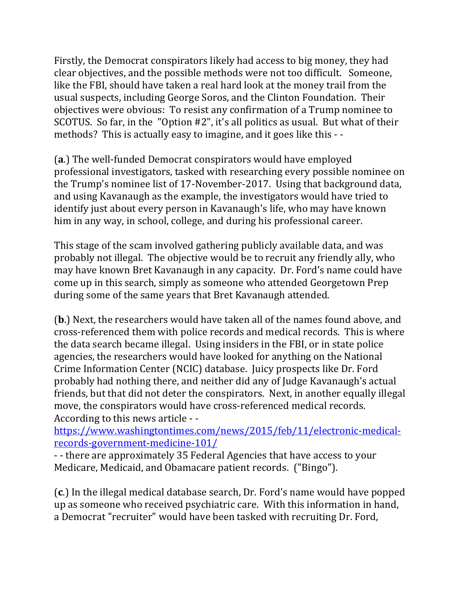Firstly, the Democrat conspirators likely had access to big money, they had clear objectives, and the possible methods were not too difficult. Someone, like the FBI, should have taken a real hard look at the money trail from the usual suspects, including George Soros, and the Clinton Foundation. Their objectives were obvious: To resist any confirmation of a Trump nominee to SCOTUS. So far, in the "Option #2", it's all politics as usual. But what of their methods? This is actually easy to imagine, and it goes like this - -

**(a.)** The well-funded Democrat conspirators would have employed professional investigators, tasked with researching every possible nominee on the Trump's nominee list of 17-November-2017. Using that background data, and using Kavanaugh as the example, the investigators would have tried to identify just about every person in Kavanaugh's life, who may have known him in any way, in school, college, and during his professional career.

This stage of the scam involved gathering publicly available data, and was probably not illegal. The objective would be to recruit any friendly ally, who may have known Bret Kavanaugh in any capacity. Dr. Ford's name could have come up in this search, simply as someone who attended Georgetown Prep during some of the same years that Bret Kavanaugh attended.

**(b.)** Next, the researchers would have taken all of the names found above, and cross-referenced them with police records and medical records. This is where the data search became illegal. Using insiders in the FBI, or in state police agencies, the researchers would have looked for anything on the National Crime Information Center (NCIC) database. Juicy prospects like Dr. Ford probably had nothing there, and neither did any of Judge Kavanaugh's actual friends, but that did not deter the conspirators. Next, in another equally illegal move, the conspirators would have cross-referenced medical records. According to this news article - -

https://www.washingtontimes.com/news/2015/feb/11/electronic-medicalrecords‐government‐medicine‐101/ 

- there are approximately 35 Federal Agencies that have access to your Medicare, Medicaid, and Obamacare patient records. ("Bingo").

**(c.)** In the illegal medical database search, Dr. Ford's name would have popped up as someone who received psychiatric care. With this information in hand, a Democrat "recruiter" would have been tasked with recruiting Dr. Ford,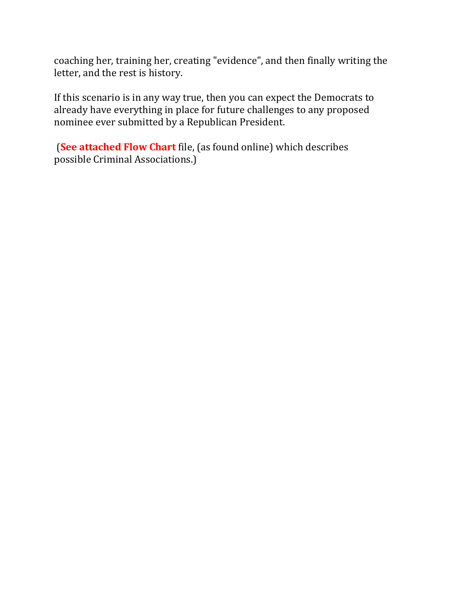coaching her, training her, creating "evidence", and then finally writing the letter, and the rest is history.

If this scenario is in any way true, then you can expect the Democrats to already have everything in place for future challenges to any proposed nominee ever submitted by a Republican President.

**(See attached Flow Chart** file, (as found online) which describes possible Criminal Associations.)